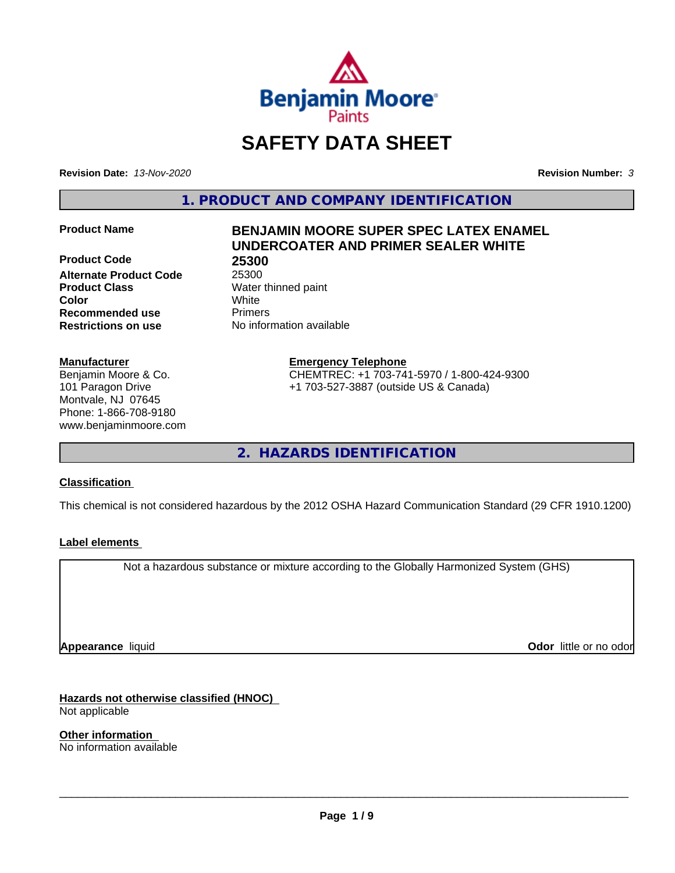

# **SAFETY DATA SHEET**

**Revision Date:** *13-Nov-2020* **Revision Number:** *3*

**1. PRODUCT AND COMPANY IDENTIFICATION**

**Product Code 25300 Alternate Product Code** 25300 **Product Class** Water thinned paint **Color** White **Recommended use** Primers **Restrictions on use** No information available

#### **Manufacturer**

Benjamin Moore & Co. 101 Paragon Drive Montvale, NJ 07645 Phone: 1-866-708-9180 www.benjaminmoore.com

### **Product Name BENJAMIN MOORE SUPER SPEC LATEX ENAMEL UNDERCOATER AND PRIMER SEALER WHITE**

**Emergency Telephone**

CHEMTREC: +1 703-741-5970 / 1-800-424-9300 +1 703-527-3887 (outside US & Canada)

**2. HAZARDS IDENTIFICATION**

#### **Classification**

This chemical is not considered hazardous by the 2012 OSHA Hazard Communication Standard (29 CFR 1910.1200)

#### **Label elements**

Not a hazardous substance or mixture according to the Globally Harmonized System (GHS)

**Appearance** liquid

**Odor** little or no odor

**Hazards not otherwise classified (HNOC)** Not applicable

**Other information** No information available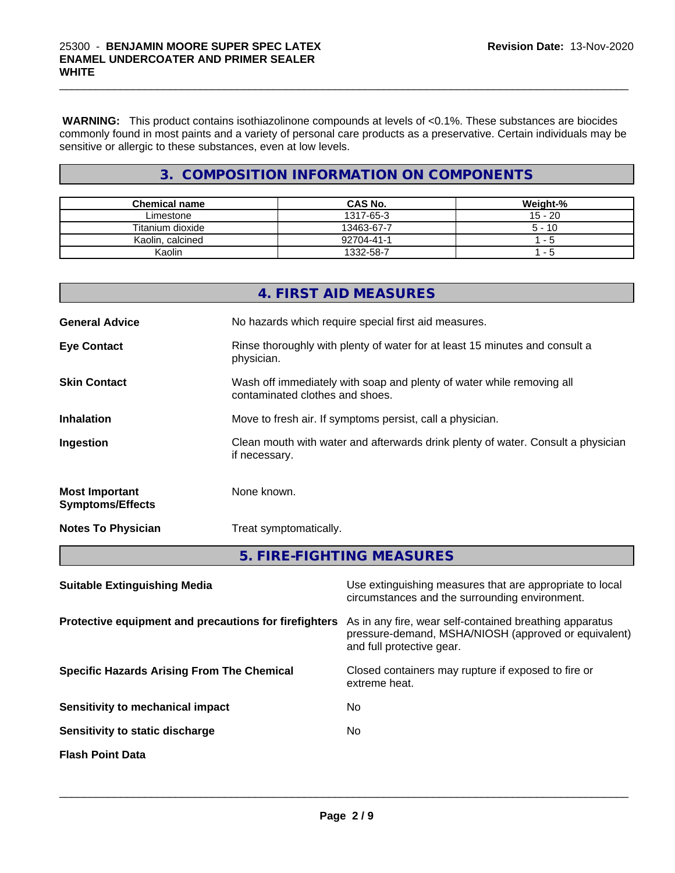**WARNING:** This product contains isothiazolinone compounds at levels of <0.1%. These substances are biocides commonly found in most paints and a variety of personal care products as a preservative. Certain individuals may be sensitive or allergic to these substances, even at low levels.

 $\_$  ,  $\_$  ,  $\_$  ,  $\_$  ,  $\_$  ,  $\_$  ,  $\_$  ,  $\_$  ,  $\_$  ,  $\_$  ,  $\_$  ,  $\_$  ,  $\_$  ,  $\_$  ,  $\_$  ,  $\_$  ,  $\_$  ,  $\_$  ,  $\_$  ,  $\_$  ,  $\_$  ,  $\_$  ,  $\_$  ,  $\_$  ,  $\_$  ,  $\_$  ,  $\_$  ,  $\_$  ,  $\_$  ,  $\_$  ,  $\_$  ,  $\_$  ,  $\_$  ,  $\_$  ,  $\_$  ,  $\_$  ,  $\_$  ,

### **3. COMPOSITION INFORMATION ON COMPONENTS**

| Chemical name    | <b>CAS No.</b> | Weight-%  |
|------------------|----------------|-----------|
| Limestone        | 1317-65-3      | $15 - 20$ |
| Titanium dioxide | 13463-67-7     | $5 - 10$  |
| Kaolin, calcined | 92704-41-1     | $-$       |
| Kaolin           | 1332-58-7      | - 5       |

|                                                  | 4. FIRST AID MEASURES                                                                                    |
|--------------------------------------------------|----------------------------------------------------------------------------------------------------------|
| <b>General Advice</b>                            | No hazards which require special first aid measures.                                                     |
| <b>Eye Contact</b>                               | Rinse thoroughly with plenty of water for at least 15 minutes and consult a<br>physician.                |
| <b>Skin Contact</b>                              | Wash off immediately with soap and plenty of water while removing all<br>contaminated clothes and shoes. |
| <b>Inhalation</b>                                | Move to fresh air. If symptoms persist, call a physician.                                                |
| Ingestion                                        | Clean mouth with water and afterwards drink plenty of water. Consult a physician<br>if necessary.        |
| <b>Most Important</b><br><b>Symptoms/Effects</b> | None known.                                                                                              |
| <b>Notes To Physician</b>                        | Treat symptomatically.                                                                                   |
|                                                  | 5. FIRE-FIGHTING MEASURES                                                                                |
|                                                  |                                                                                                          |

| <b>Suitable Extinguishing Media</b>                   | Use extinguishing measures that are appropriate to local<br>circumstances and the surrounding environment.                                   |
|-------------------------------------------------------|----------------------------------------------------------------------------------------------------------------------------------------------|
| Protective equipment and precautions for firefighters | As in any fire, wear self-contained breathing apparatus<br>pressure-demand, MSHA/NIOSH (approved or equivalent)<br>and full protective gear. |
| <b>Specific Hazards Arising From The Chemical</b>     | Closed containers may rupture if exposed to fire or<br>extreme heat.                                                                         |
| Sensitivity to mechanical impact                      | No                                                                                                                                           |
| Sensitivity to static discharge                       | No                                                                                                                                           |
| <b>Flash Point Data</b>                               |                                                                                                                                              |
|                                                       |                                                                                                                                              |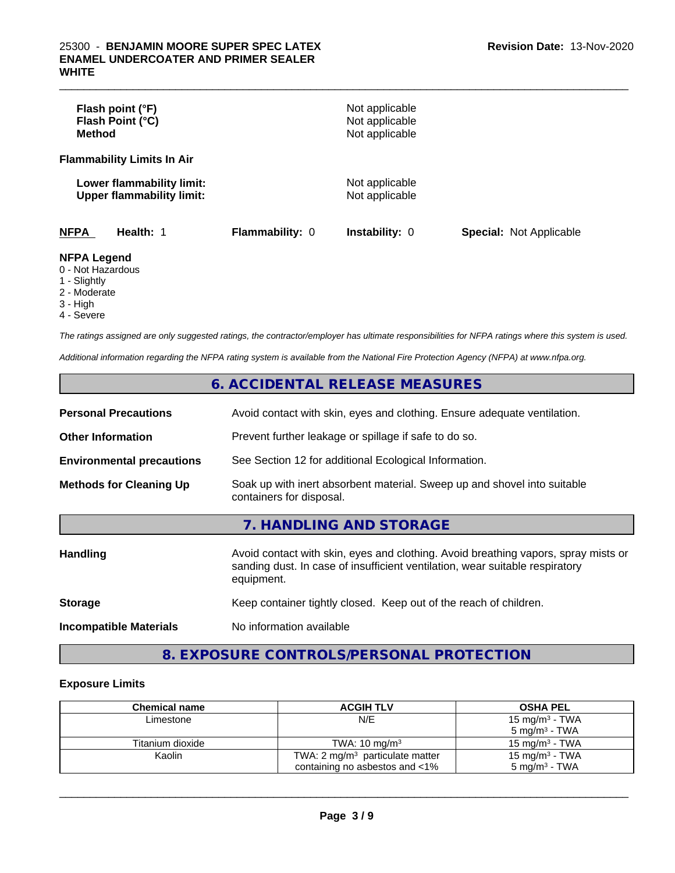| Flash point (°F)<br>Flash Point (°C)<br><b>Method</b>         |                        | Not applicable<br>Not applicable<br>Not applicable |                                |
|---------------------------------------------------------------|------------------------|----------------------------------------------------|--------------------------------|
| <b>Flammability Limits In Air</b>                             |                        |                                                    |                                |
| Lower flammability limit:<br><b>Upper flammability limit:</b> |                        | Not applicable<br>Not applicable                   |                                |
| <b>NFPA</b><br>Health: 1                                      | <b>Flammability: 0</b> | <b>Instability: 0</b>                              | <b>Special: Not Applicable</b> |
| <b>NFPA Legend</b><br>0 - Not Hazardous<br>1 - Slightly       |                        |                                                    |                                |

- 2 Moderate
- 3 High
- 4 Severe

*The ratings assigned are only suggested ratings, the contractor/employer has ultimate responsibilities for NFPA ratings where this system is used.*

*Additional information regarding the NFPA rating system is available from the National Fire Protection Agency (NFPA) at www.nfpa.org.*

### **6. ACCIDENTAL RELEASE MEASURES**

| <b>Personal Precautions</b>      | Avoid contact with skin, eyes and clothing. Ensure adequate ventilation.                             |
|----------------------------------|------------------------------------------------------------------------------------------------------|
| <b>Other Information</b>         | Prevent further leakage or spillage if safe to do so.                                                |
| <b>Environmental precautions</b> | See Section 12 for additional Ecological Information.                                                |
| <b>Methods for Cleaning Up</b>   | Soak up with inert absorbent material. Sweep up and shovel into suitable<br>containers for disposal. |

### **7. HANDLING AND STORAGE**

| <b>Handling</b>               | Avoid contact with skin, eyes and clothing. Avoid breathing vapors, spray mists or<br>sanding dust. In case of insufficient ventilation, wear suitable respiratory<br>equipment. |
|-------------------------------|----------------------------------------------------------------------------------------------------------------------------------------------------------------------------------|
| <b>Storage</b>                | Keep container tightly closed. Keep out of the reach of children.                                                                                                                |
| <b>Incompatible Materials</b> | No information available                                                                                                                                                         |

### **8. EXPOSURE CONTROLS/PERSONAL PROTECTION**

#### **Exposure Limits**

| <b>Chemical name</b> | <b>ACGIH TLV</b>                           | <b>OSHA PEL</b>            |
|----------------------|--------------------------------------------|----------------------------|
| Limestone            | N/E                                        | 15 mg/m <sup>3</sup> - TWA |
|                      |                                            | $5 \text{ ma/m}^3$ - TWA   |
| Titanium dioxide     | TWA: $10 \text{ mg/m}^3$                   | 15 mg/m $3$ - TWA          |
| Kaolin               | TWA: $2 \text{ mg/m}^3$ particulate matter | 15 mg/m <sup>3</sup> - TWA |
|                      | containing no asbestos and <1%             | $5 \text{ mg/m}^3$ - TWA   |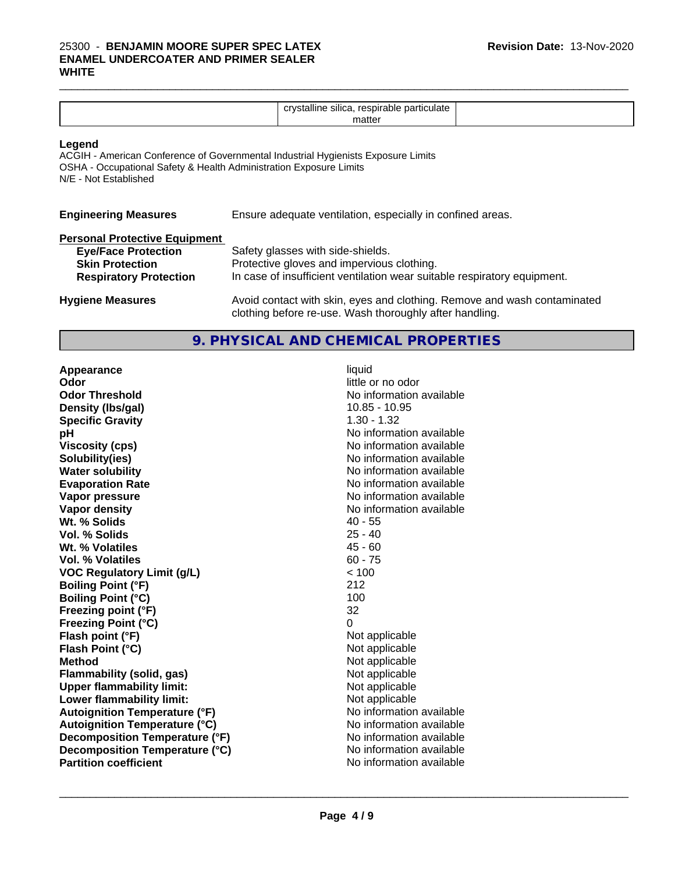#### $\_$  ,  $\_$  ,  $\_$  ,  $\_$  ,  $\_$  ,  $\_$  ,  $\_$  ,  $\_$  ,  $\_$  ,  $\_$  ,  $\_$  ,  $\_$  ,  $\_$  ,  $\_$  ,  $\_$  ,  $\_$  ,  $\_$  ,  $\_$  ,  $\_$  ,  $\_$  ,  $\_$  ,  $\_$  ,  $\_$  ,  $\_$  ,  $\_$  ,  $\_$  ,  $\_$  ,  $\_$  ,  $\_$  ,  $\_$  ,  $\_$  ,  $\_$  ,  $\_$  ,  $\_$  ,  $\_$  ,  $\_$  ,  $\_$  , 25300 - **BENJAMIN MOORE SUPER SPEC LATEX ENAMEL UNDERCOATER AND PRIMER SEALER WHITE**

| $\cdots$<br>$-1$<br>ж<br>ішса<br><br>,,,, |  |
|-------------------------------------------|--|
|                                           |  |

#### **Legend**

ACGIH - American Conference of Governmental Industrial Hygienists Exposure Limits OSHA - Occupational Safety & Health Administration Exposure Limits N/E - Not Established

| <b>Engineering Measures</b> |  | Ensure adequate ventilation, especially in confined areas. |
|-----------------------------|--|------------------------------------------------------------|
|-----------------------------|--|------------------------------------------------------------|

| <b>Personal Protective Equipment</b> |                                                                          |
|--------------------------------------|--------------------------------------------------------------------------|
| <b>Eye/Face Protection</b>           | Safety glasses with side-shields.                                        |
| <b>Skin Protection</b>               | Protective gloves and impervious clothing.                               |
| <b>Respiratory Protection</b>        | In case of insufficient ventilation wear suitable respiratory equipment. |
| <b>Hygiene Measures</b>              | Avoid contact with skin, eyes and clothing. Remove and wash contaminated |

### **9. PHYSICAL AND CHEMICAL PROPERTIES**

clothing before re-use. Wash thoroughly after handling.

**Appearance** liquid **and a limitation of the contract of the contract of the contract of the contract of the contract of the contract of the contract of the contract of the contract of the contract of the contract of the c Odor Threshold No information available No information available Density (Ibs/gal)** 10.85 - 10.95 **Specific Gravity** 1.30 - 1.32 **pH pH**  $\blacksquare$ **Viscosity (cps)** No information available **Solubility(ies)** No information available **Water solubility** No information available **Evaporation Rate No information available No information available Vapor pressure** No information available **Vapor density**<br> **We Solids**<br>
We Solids
2015<br>
2015<br>
2016<br>
2016<br>
2016<br>
2016<br>
2017 **Wt. % Solids** 40 - 55<br> **Vol. % Solids** 25 - 40 **Vol. % Solids** 25 - 40<br> **Wt. % Volatiles** 25 - 40 **Wt. % Volatiles Vol. % Volatiles** 60 - 75 **VOC Regulatory Limit (g/L)** < 100 **Boiling Point (°F)** 212 **Boiling Point (°C)** 100 **Freezing point (°F)** 32 **Freezing Point (°C)** 0 **Flash point (°F) Flash Point (°C)** Not applicable **Method**<br> **Flammability (solid, gas)**<br> **Commability (solid, gas)**<br>
Mot applicable **Flammability (solid, gas)**<br> **Upper flammability limit:**<br>
Upper flammability limit: **Upper flammability limit: Lower flammability limit:**<br> **Autoignition Temperature (°F)** Not applicable Not applicable **Autoignition Temperature (°F) Autoignition Temperature (°C)** No information available **Decomposition Temperature (°F)** No information available **Decomposition Temperature (°C)** No information available **Partition coefficient** No information available

little or no odor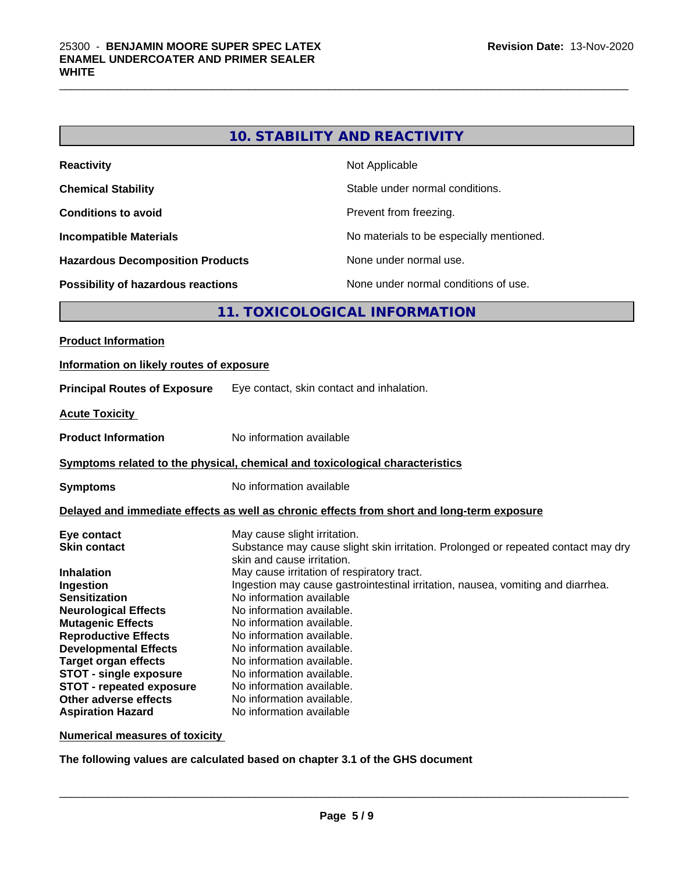| 10. STABILITY AND REACTIVITY |  |  |
|------------------------------|--|--|
|------------------------------|--|--|

| <b>Reactivity</b>                         | Not Applicable                           |
|-------------------------------------------|------------------------------------------|
| <b>Chemical Stability</b>                 | Stable under normal conditions.          |
| <b>Conditions to avoid</b>                | Prevent from freezing.                   |
| <b>Incompatible Materials</b>             | No materials to be especially mentioned. |
| <b>Hazardous Decomposition Products</b>   | None under normal use.                   |
| <b>Possibility of hazardous reactions</b> | None under normal conditions of use.     |

## **11. TOXICOLOGICAL INFORMATION**

| <b>Product Information</b>                                                                                                                                                                                                                                                                                                                                                     |                                                                                                                                                                                                                                                                                                                                                                                                                                                                                                                                                                                  |
|--------------------------------------------------------------------------------------------------------------------------------------------------------------------------------------------------------------------------------------------------------------------------------------------------------------------------------------------------------------------------------|----------------------------------------------------------------------------------------------------------------------------------------------------------------------------------------------------------------------------------------------------------------------------------------------------------------------------------------------------------------------------------------------------------------------------------------------------------------------------------------------------------------------------------------------------------------------------------|
| Information on likely routes of exposure                                                                                                                                                                                                                                                                                                                                       |                                                                                                                                                                                                                                                                                                                                                                                                                                                                                                                                                                                  |
| <b>Principal Routes of Exposure</b>                                                                                                                                                                                                                                                                                                                                            | Eye contact, skin contact and inhalation.                                                                                                                                                                                                                                                                                                                                                                                                                                                                                                                                        |
| <b>Acute Toxicity</b>                                                                                                                                                                                                                                                                                                                                                          |                                                                                                                                                                                                                                                                                                                                                                                                                                                                                                                                                                                  |
| <b>Product Information</b>                                                                                                                                                                                                                                                                                                                                                     | No information available                                                                                                                                                                                                                                                                                                                                                                                                                                                                                                                                                         |
|                                                                                                                                                                                                                                                                                                                                                                                | Symptoms related to the physical, chemical and toxicological characteristics                                                                                                                                                                                                                                                                                                                                                                                                                                                                                                     |
| <b>Symptoms</b>                                                                                                                                                                                                                                                                                                                                                                | No information available                                                                                                                                                                                                                                                                                                                                                                                                                                                                                                                                                         |
|                                                                                                                                                                                                                                                                                                                                                                                | Delayed and immediate effects as well as chronic effects from short and long-term exposure                                                                                                                                                                                                                                                                                                                                                                                                                                                                                       |
| Eye contact<br><b>Skin contact</b><br><b>Inhalation</b><br>Ingestion<br><b>Sensitization</b><br><b>Neurological Effects</b><br><b>Mutagenic Effects</b><br><b>Reproductive Effects</b><br><b>Developmental Effects</b><br><b>Target organ effects</b><br><b>STOT - single exposure</b><br><b>STOT - repeated exposure</b><br>Other adverse effects<br><b>Aspiration Hazard</b> | May cause slight irritation.<br>Substance may cause slight skin irritation. Prolonged or repeated contact may dry<br>skin and cause irritation.<br>May cause irritation of respiratory tract.<br>Ingestion may cause gastrointestinal irritation, nausea, vomiting and diarrhea.<br>No information available<br>No information available.<br>No information available.<br>No information available.<br>No information available.<br>No information available.<br>No information available.<br>No information available.<br>No information available.<br>No information available |

**Numerical measures of toxicity**

**The following values are calculated based on chapter 3.1 of the GHS document**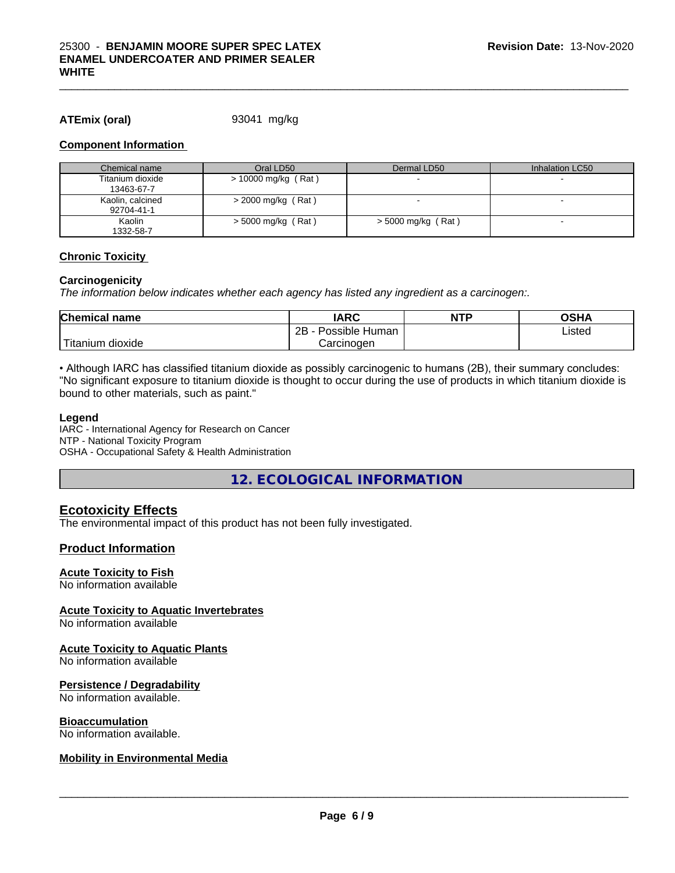#### **ATEmix (oral)** 93041 mg/kg

#### **Component Information**

| Chemical name                  | Oral LD50             | Dermal LD50          | Inhalation LC50 |
|--------------------------------|-----------------------|----------------------|-----------------|
| Titanium dioxide<br>13463-67-7 | $> 10000$ mg/kg (Rat) |                      |                 |
| Kaolin, calcined<br>92704-41-1 | $>$ 2000 mg/kg (Rat)  |                      |                 |
| Kaolin<br>1332-58-7            | $>$ 5000 mg/kg (Rat)  | $>$ 5000 mg/kg (Rat) |                 |

#### **Chronic Toxicity**

#### **Carcinogenicity**

*The information below indicateswhether each agency has listed any ingredient as a carcinogen:.*

| <b>Chemical name</b>   | <b>IARC</b>                   | <b>NTP</b> | OSHA   |  |
|------------------------|-------------------------------|------------|--------|--|
|                        | .<br>2B<br>Possible<br>≞Human |            | Listed |  |
| n dioxide<br>l itanıum | Carcinoɑen                    |            |        |  |

• Although IARC has classified titanium dioxide as possibly carcinogenic to humans (2B), their summary concludes: "No significant exposure to titanium dioxide is thought to occur during the use of products in which titanium dioxide is bound to other materials, such as paint."

#### **Legend**

IARC - International Agency for Research on Cancer NTP - National Toxicity Program OSHA - Occupational Safety & Health Administration

**12. ECOLOGICAL INFORMATION**

#### **Ecotoxicity Effects**

The environmental impact of this product has not been fully investigated.

#### **Product Information**

#### **Acute Toxicity to Fish**

No information available

#### **Acute Toxicity to Aquatic Invertebrates**

No information available

#### **Acute Toxicity to Aquatic Plants**

No information available

#### **Persistence / Degradability**

No information available.

#### **Bioaccumulation**

No information available.

#### **Mobility in Environmental Media**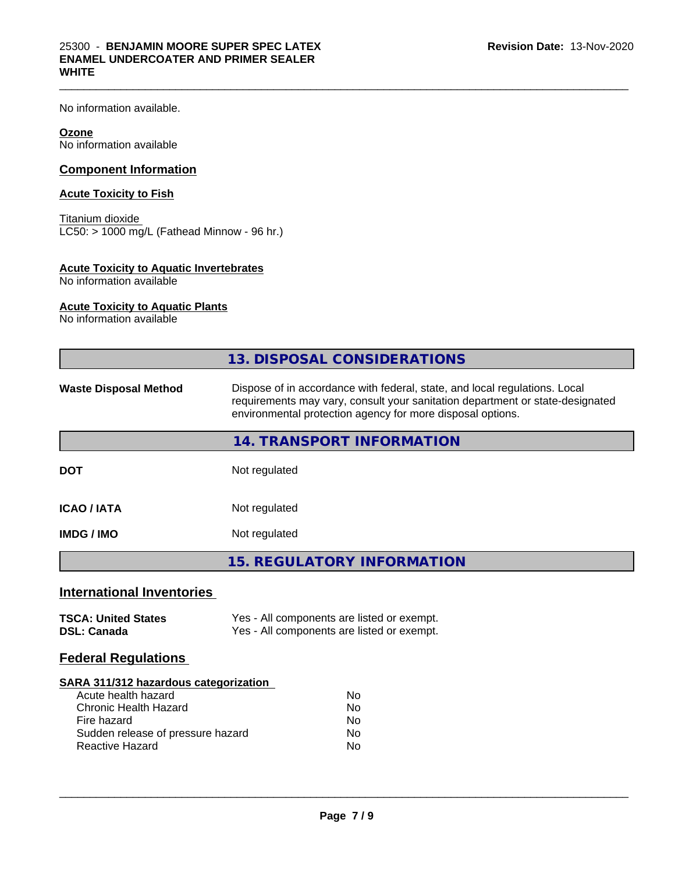No information available.

#### **Ozone**

No information available

#### **Component Information**

#### **Acute Toxicity to Fish**

Titanium dioxide  $\overline{\text{LC50:}}$  > 1000 mg/L (Fathead Minnow - 96 hr.)

#### **Acute Toxicity to Aquatic Invertebrates**

No information available

#### **Acute Toxicity to Aquatic Plants**

No information available

|                                                                                                                                                                     | 13. DISPOSAL CONSIDERATIONS                                                                                                                                                                                               |
|---------------------------------------------------------------------------------------------------------------------------------------------------------------------|---------------------------------------------------------------------------------------------------------------------------------------------------------------------------------------------------------------------------|
| <b>Waste Disposal Method</b>                                                                                                                                        | Dispose of in accordance with federal, state, and local regulations. Local<br>requirements may vary, consult your sanitation department or state-designated<br>environmental protection agency for more disposal options. |
|                                                                                                                                                                     | 14. TRANSPORT INFORMATION                                                                                                                                                                                                 |
| <b>DOT</b>                                                                                                                                                          | Not regulated                                                                                                                                                                                                             |
| <b>ICAO / IATA</b>                                                                                                                                                  | Not regulated                                                                                                                                                                                                             |
| <b>IMDG / IMO</b>                                                                                                                                                   | Not regulated                                                                                                                                                                                                             |
|                                                                                                                                                                     | <b>15. REGULATORY INFORMATION</b>                                                                                                                                                                                         |
| <b>International Inventories</b>                                                                                                                                    |                                                                                                                                                                                                                           |
| <b>TSCA: United States</b><br><b>DSL: Canada</b>                                                                                                                    | Yes - All components are listed or exempt.<br>Yes - All components are listed or exempt.                                                                                                                                  |
| <b>Federal Regulations</b>                                                                                                                                          |                                                                                                                                                                                                                           |
| SARA 311/312 hazardous categorization<br>Acute health hazard<br><b>Chronic Health Hazard</b><br>Fire hazard<br>Sudden release of pressure hazard<br>Reactive Hazard | No<br><b>No</b><br>No<br>No.<br>No                                                                                                                                                                                        |

 $\_$  ,  $\_$  ,  $\_$  ,  $\_$  ,  $\_$  ,  $\_$  ,  $\_$  ,  $\_$  ,  $\_$  ,  $\_$  ,  $\_$  ,  $\_$  ,  $\_$  ,  $\_$  ,  $\_$  ,  $\_$  ,  $\_$  ,  $\_$  ,  $\_$  ,  $\_$  ,  $\_$  ,  $\_$  ,  $\_$  ,  $\_$  ,  $\_$  ,  $\_$  ,  $\_$  ,  $\_$  ,  $\_$  ,  $\_$  ,  $\_$  ,  $\_$  ,  $\_$  ,  $\_$  ,  $\_$  ,  $\_$  ,  $\_$  ,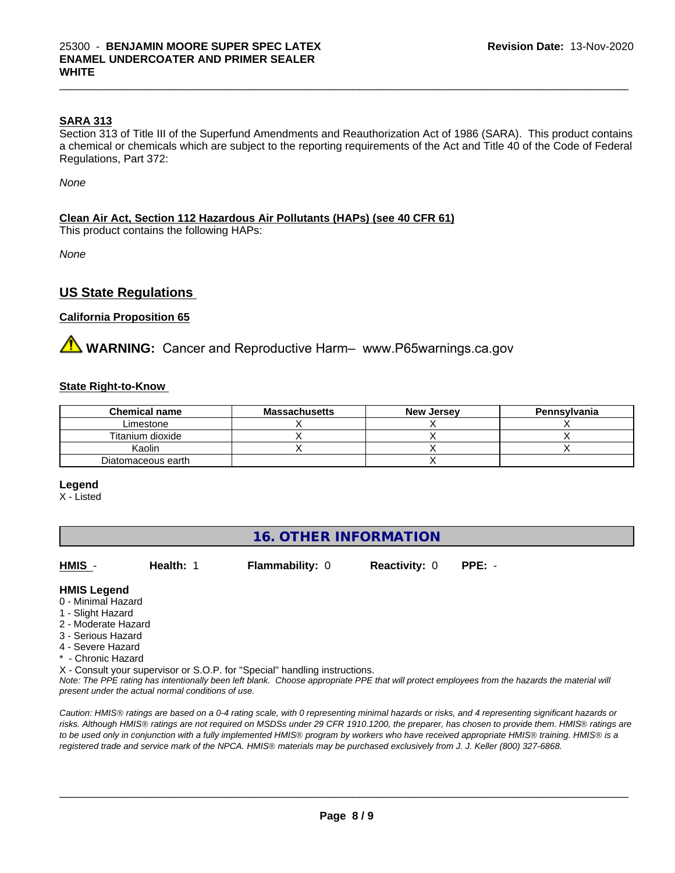#### **SARA 313**

Section 313 of Title III of the Superfund Amendments and Reauthorization Act of 1986 (SARA). This product contains a chemical or chemicals which are subject to the reporting requirements of the Act and Title 40 of the Code of Federal Regulations, Part 372:

*None*

#### **Clean Air Act,Section 112 Hazardous Air Pollutants (HAPs) (see 40 CFR 61)**

This product contains the following HAPs:

*None*

### **US State Regulations**

#### **California Proposition 65**

**AVIMARNING:** Cancer and Reproductive Harm– www.P65warnings.ca.gov

#### **State Right-to-Know**

| <b>Chemical name</b> | <b>Massachusetts</b> | <b>New Jersey</b> | Pennsylvania |
|----------------------|----------------------|-------------------|--------------|
| Limestone            |                      |                   |              |
| Titanium dioxide     |                      |                   |              |
| Kaolin               |                      |                   |              |
| Diatomaceous earth   |                      |                   |              |

**Legend**

X - Listed

### **16. OTHER INFORMATION**

**HMIS** - **Health:** 1 **Flammability:** 0 **Reactivity:** 0 **PPE:** -

 $\overline{\phantom{a}}$  ,  $\overline{\phantom{a}}$  ,  $\overline{\phantom{a}}$  ,  $\overline{\phantom{a}}$  ,  $\overline{\phantom{a}}$  ,  $\overline{\phantom{a}}$  ,  $\overline{\phantom{a}}$  ,  $\overline{\phantom{a}}$  ,  $\overline{\phantom{a}}$  ,  $\overline{\phantom{a}}$  ,  $\overline{\phantom{a}}$  ,  $\overline{\phantom{a}}$  ,  $\overline{\phantom{a}}$  ,  $\overline{\phantom{a}}$  ,  $\overline{\phantom{a}}$  ,  $\overline{\phantom{a}}$ 

#### **HMIS Legend**

- 0 Minimal Hazard
- 1 Slight Hazard
- 2 Moderate Hazard
- 3 Serious Hazard
- 4 Severe Hazard
- Chronic Hazard

X - Consult your supervisor or S.O.P. for "Special" handling instructions.

*Note: The PPE rating has intentionally been left blank. Choose appropriate PPE that will protect employees from the hazards the material will present under the actual normal conditions of use.*

*Caution: HMISÒ ratings are based on a 0-4 rating scale, with 0 representing minimal hazards or risks, and 4 representing significant hazards or risks. Although HMISÒ ratings are not required on MSDSs under 29 CFR 1910.1200, the preparer, has chosen to provide them. HMISÒ ratings are to be used only in conjunction with a fully implemented HMISÒ program by workers who have received appropriate HMISÒ training. HMISÒ is a registered trade and service mark of the NPCA. HMISÒ materials may be purchased exclusively from J. J. Keller (800) 327-6868.*